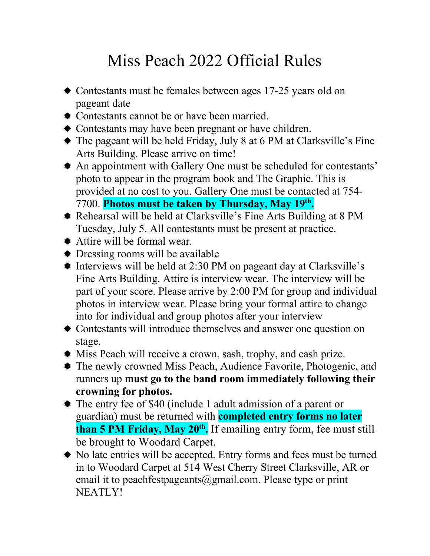## Miss Peach 2022 Official Rules

- $\bullet$  **Contestants must be females between ages 17-25 years old on** pageant date
- ® Contestants cannot be or have been married.
- Contestants may have been pregnant or have children.
- ® The pageant will be held Friday, July 8 at 6 PM at Clarksville's Fine Arts Building. Please arrive on time!
- \* An appointment with Gallery One must be scheduled for contestants' photo to appear in the program book and The Graphic. This is provided at no cost to you. Gallery One must be contacted at 754- 7700. **Photos must be taken by Thursday, May 19th.**
- ® Rehearsal will be held at Clarksville's Fine Arts Building at 8 PM Tuesday, July 5. All contestants must be present at practice.
- ® Attire will be formal wear.
- $\bullet$  Dressing rooms will be available
- ® Interviews will be held at 2:30 PM on pageant day at Clarksville's Fine Arts Building. Attire is interview wear. The interview will be part of your score. Please arrive by 2:00 PM for group and individual photos in interview wear. Please bring your formal attire to change into for individual and group photos after your interview
- ® Contestants will introduce themselves and answer one question on stage.
- ® Miss Peach will receive a crown, sash, trophy, and cash prize.
- ® The newly crowned Miss Peach, Audience Favorite, Photogenic, and runners up **must go to the band room immediately following their crowning for photos.**
- ® The entry fee of \$40 (include 1 adult admission of a parent or guardian) must be returned with **completed entry forms no later than 5 PM Friday, May 20th.** If emailing entry form, fee must still be brought to Woodard Carpet.
- ® No late entries will be accepted. Entry forms and fees must be turned in to Woodard Carpet at 514 West Cherry Street Clarksville, AR or email it to peachfestpageants@gmail.com. Please type or print NEATLY!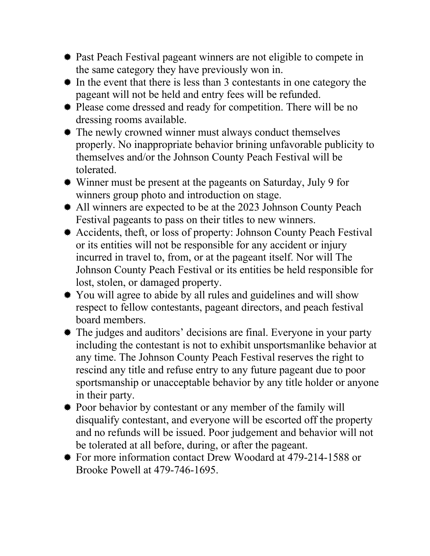- **\*** Past Peach Festival pageant winners are not eligible to compete in the same category they have previously won in.
- ® In the event that there is less than 3 contestants in one category the pageant will not be held and entry fees will be refunded.
- ® Please come dressed and ready for competition. There will be no dressing rooms available.
- The newly crowned winner must always conduct themselves properly. No inappropriate behavior brining unfavorable publicity to themselves and/or the Johnson County Peach Festival will be tolerated.
- ® Winner must be present at the pageants on Saturday, July 9 for winners group photo and introduction on stage.
- \* All winners are expected to be at the 2023 Johnson County Peach Festival pageants to pass on their titles to new winners.
- ® Accidents, theft, or loss of property: Johnson County Peach Festival or its entities will not be responsible for any accident or injury incurred in travel to, from, or at the pageant itself. Nor will The Johnson County Peach Festival or its entities be held responsible for lost, stolen, or damaged property.
- ® You will agree to abide by all rules and guidelines and will show respect to fellow contestants, pageant directors, and peach festival board members.
- ® The judges and auditors' decisions are final. Everyone in your party including the contestant is not to exhibit unsportsmanlike behavior at any time. The Johnson County Peach Festival reserves the right to rescind any title and refuse entry to any future pageant due to poor sportsmanship or unacceptable behavior by any title holder or anyone in their party.
- ® Poor behavior by contestant or any member of the family will disqualify contestant, and everyone will be escorted off the property and no refunds will be issued. Poor judgement and behavior will not be tolerated at all before, during, or after the pageant.
- ® For more information contact Drew Woodard at 479-214-1588 or Brooke Powell at 479-746-1695.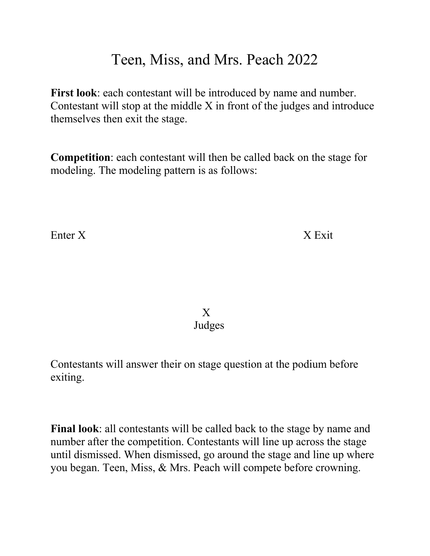## Teen, Miss, and Mrs. Peach 2022

**First look**: each contestant will be introduced by name and number. Contestant will stop at the middle X in front of the judges and introduce themselves then exit the stage.

**Competition**: each contestant will then be called back on the stage for modeling. The modeling pattern is as follows:

Enter X X Exit

X Judges

Contestants will answer their on stage question at the podium before exiting.

**Final look**: all contestants will be called back to the stage by name and number after the competition. Contestants will line up across the stage until dismissed. When dismissed, go around the stage and line up where you began. Teen, Miss, & Mrs. Peach will compete before crowning.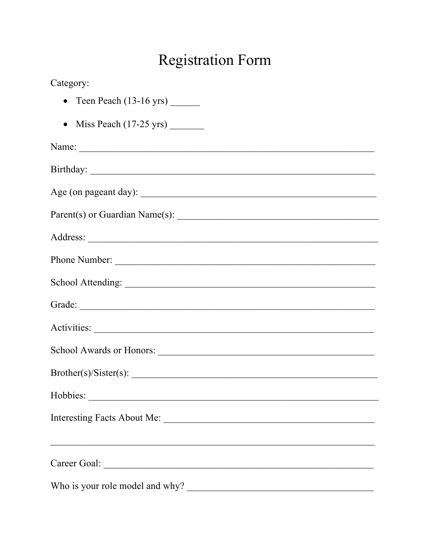## **Registration Form**

| Category:                                                   |
|-------------------------------------------------------------|
|                                                             |
| • Miss Peach $(17-25 \text{ yrs})$                          |
| Name:                                                       |
|                                                             |
|                                                             |
|                                                             |
|                                                             |
|                                                             |
|                                                             |
|                                                             |
|                                                             |
|                                                             |
| Brother(s)/Sister(s):                                       |
|                                                             |
| Interesting Facts About Me:                                 |
| <u> 1989 - Johann Stoff, amerikansk politiker (d. 1989)</u> |
| Who is your role model and why?                             |